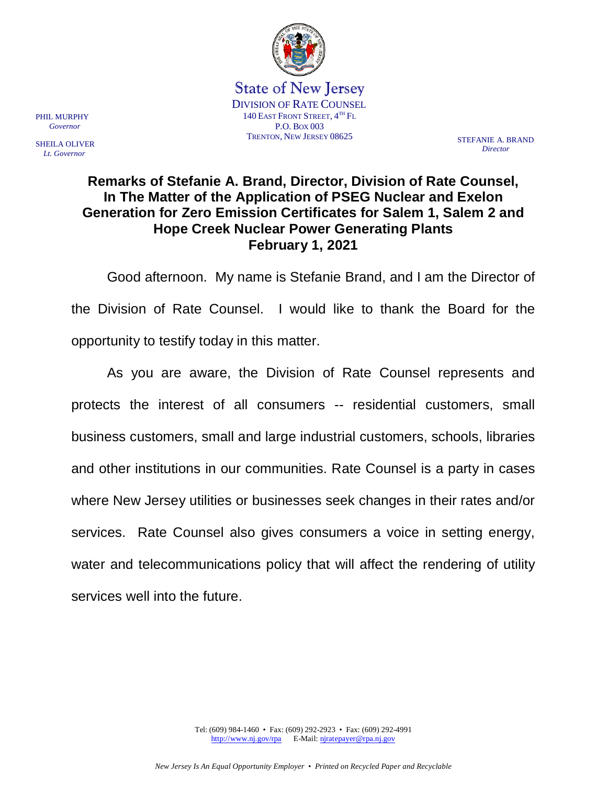

State of New Jersey DIVISION OF RATE COUNSEL 140 EAST FRONT STREET,  $4^{TH}$  Fl. P.O. BOX 003 TRENTON, NEW JERSEY 08625 STEFANIE A. BRAND

PHIL MURPHY  *Governor*

SHEILA OLIVER  *Lt. Governor*

*Director*

## **Remarks of Stefanie A. Brand, Director, Division of Rate Counsel, In The Matter of the Application of PSEG Nuclear and Exelon Generation for Zero Emission Certificates for Salem 1, Salem 2 and Hope Creek Nuclear Power Generating Plants February 1, 2021**

Good afternoon. My name is Stefanie Brand, and I am the Director of the Division of Rate Counsel. I would like to thank the Board for the opportunity to testify today in this matter.

As you are aware, the Division of Rate Counsel represents and protects the interest of all consumers -- residential customers, small business customers, small and large industrial customers, schools, libraries and other institutions in our communities. Rate Counsel is a party in cases where New Jersey utilities or businesses seek changes in their rates and/or services. Rate Counsel also gives consumers a voice in setting energy, water and telecommunications policy that will affect the rendering of utility services well into the future.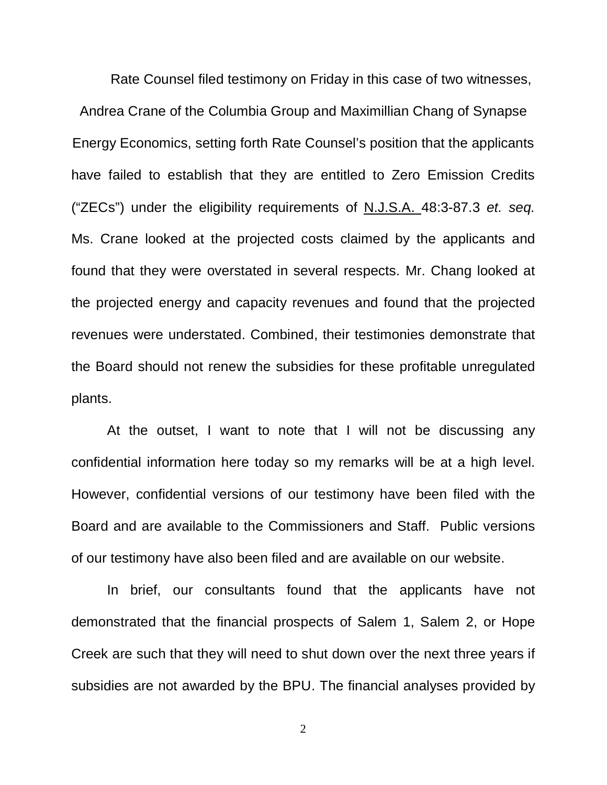Rate Counsel filed testimony on Friday in this case of two witnesses, Andrea Crane of the Columbia Group and Maximillian Chang of Synapse Energy Economics, setting forth Rate Counsel's position that the applicants have failed to establish that they are entitled to Zero Emission Credits ("ZECs") under the eligibility requirements of N.J.S.A. 48:3-87.3 *et. seq.* Ms. Crane looked at the projected costs claimed by the applicants and found that they were overstated in several respects. Mr. Chang looked at the projected energy and capacity revenues and found that the projected revenues were understated. Combined, their testimonies demonstrate that the Board should not renew the subsidies for these profitable unregulated plants.

At the outset, I want to note that I will not be discussing any confidential information here today so my remarks will be at a high level. However, confidential versions of our testimony have been filed with the Board and are available to the Commissioners and Staff. Public versions of our testimony have also been filed and are available on our website.

In brief, our consultants found that the applicants have not demonstrated that the financial prospects of Salem 1, Salem 2, or Hope Creek are such that they will need to shut down over the next three years if subsidies are not awarded by the BPU. The financial analyses provided by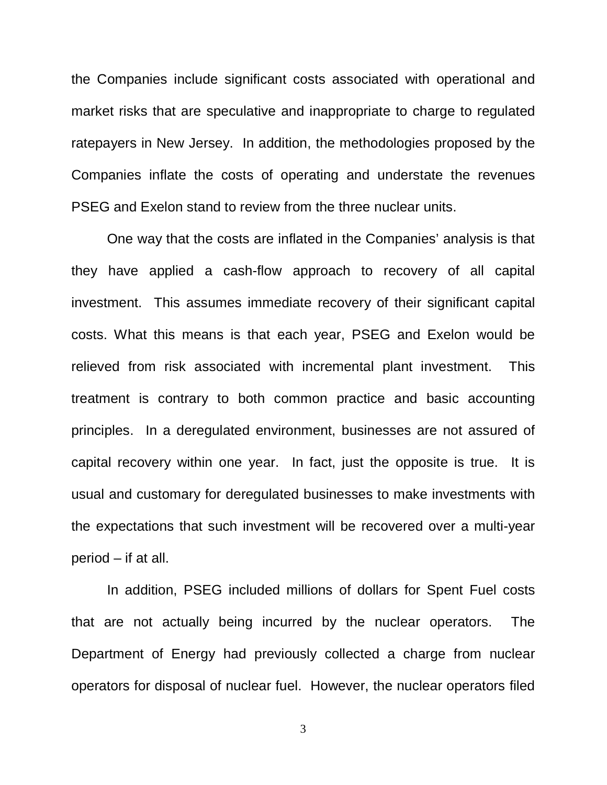the Companies include significant costs associated with operational and market risks that are speculative and inappropriate to charge to regulated ratepayers in New Jersey. In addition, the methodologies proposed by the Companies inflate the costs of operating and understate the revenues PSEG and Exelon stand to review from the three nuclear units.

One way that the costs are inflated in the Companies' analysis is that they have applied a cash-flow approach to recovery of all capital investment. This assumes immediate recovery of their significant capital costs. What this means is that each year, PSEG and Exelon would be relieved from risk associated with incremental plant investment. This treatment is contrary to both common practice and basic accounting principles. In a deregulated environment, businesses are not assured of capital recovery within one year. In fact, just the opposite is true. It is usual and customary for deregulated businesses to make investments with the expectations that such investment will be recovered over a multi-year period – if at all.

In addition, PSEG included millions of dollars for Spent Fuel costs that are not actually being incurred by the nuclear operators. The Department of Energy had previously collected a charge from nuclear operators for disposal of nuclear fuel. However, the nuclear operators filed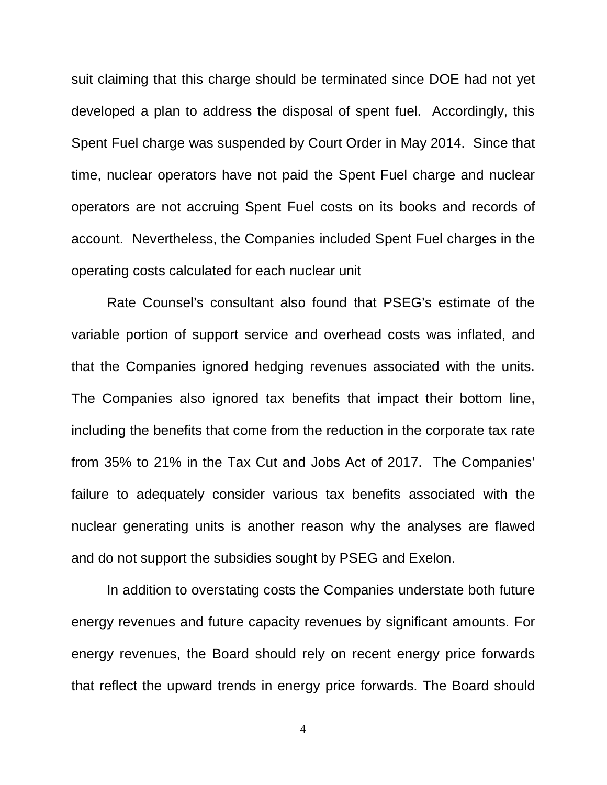suit claiming that this charge should be terminated since DOE had not yet developed a plan to address the disposal of spent fuel. Accordingly, this Spent Fuel charge was suspended by Court Order in May 2014. Since that time, nuclear operators have not paid the Spent Fuel charge and nuclear operators are not accruing Spent Fuel costs on its books and records of account. Nevertheless, the Companies included Spent Fuel charges in the operating costs calculated for each nuclear unit

Rate Counsel's consultant also found that PSEG's estimate of the variable portion of support service and overhead costs was inflated, and that the Companies ignored hedging revenues associated with the units. The Companies also ignored tax benefits that impact their bottom line, including the benefits that come from the reduction in the corporate tax rate from 35% to 21% in the Tax Cut and Jobs Act of 2017. The Companies' failure to adequately consider various tax benefits associated with the nuclear generating units is another reason why the analyses are flawed and do not support the subsidies sought by PSEG and Exelon.

In addition to overstating costs the Companies understate both future energy revenues and future capacity revenues by significant amounts. For energy revenues, the Board should rely on recent energy price forwards that reflect the upward trends in energy price forwards. The Board should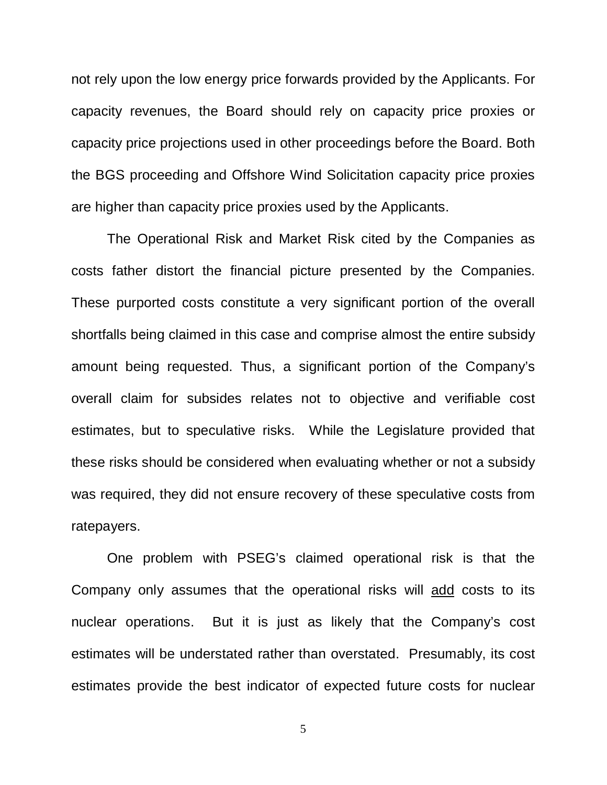not rely upon the low energy price forwards provided by the Applicants. For capacity revenues, the Board should rely on capacity price proxies or capacity price projections used in other proceedings before the Board. Both the BGS proceeding and Offshore Wind Solicitation capacity price proxies are higher than capacity price proxies used by the Applicants.

The Operational Risk and Market Risk cited by the Companies as costs father distort the financial picture presented by the Companies. These purported costs constitute a very significant portion of the overall shortfalls being claimed in this case and comprise almost the entire subsidy amount being requested. Thus, a significant portion of the Company's overall claim for subsides relates not to objective and verifiable cost estimates, but to speculative risks. While the Legislature provided that these risks should be considered when evaluating whether or not a subsidy was required, they did not ensure recovery of these speculative costs from ratepayers.

One problem with PSEG's claimed operational risk is that the Company only assumes that the operational risks will add costs to its nuclear operations. But it is just as likely that the Company's cost estimates will be understated rather than overstated. Presumably, its cost estimates provide the best indicator of expected future costs for nuclear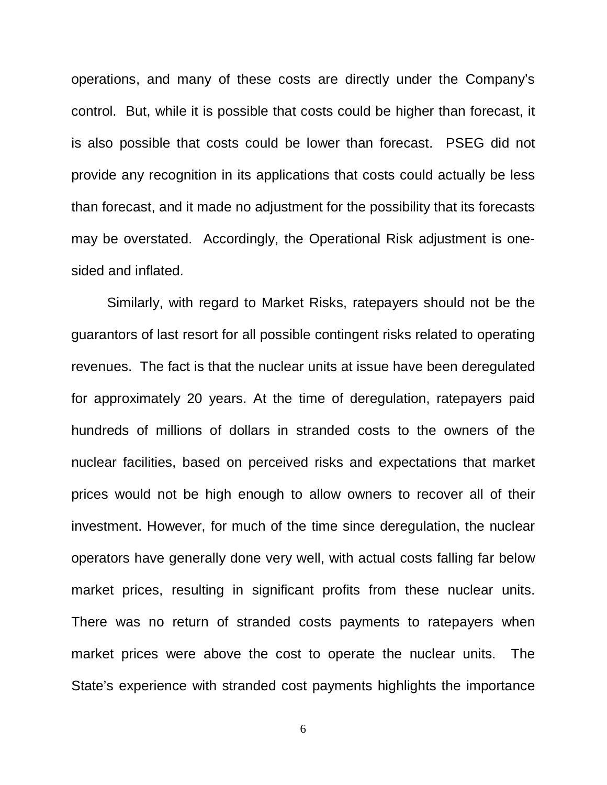operations, and many of these costs are directly under the Company's control. But, while it is possible that costs could be higher than forecast, it is also possible that costs could be lower than forecast. PSEG did not provide any recognition in its applications that costs could actually be less than forecast, and it made no adjustment for the possibility that its forecasts may be overstated. Accordingly, the Operational Risk adjustment is onesided and inflated.

Similarly, with regard to Market Risks, ratepayers should not be the guarantors of last resort for all possible contingent risks related to operating revenues. The fact is that the nuclear units at issue have been deregulated for approximately 20 years. At the time of deregulation, ratepayers paid hundreds of millions of dollars in stranded costs to the owners of the nuclear facilities, based on perceived risks and expectations that market prices would not be high enough to allow owners to recover all of their investment. However, for much of the time since deregulation, the nuclear operators have generally done very well, with actual costs falling far below market prices, resulting in significant profits from these nuclear units. There was no return of stranded costs payments to ratepayers when market prices were above the cost to operate the nuclear units. The State's experience with stranded cost payments highlights the importance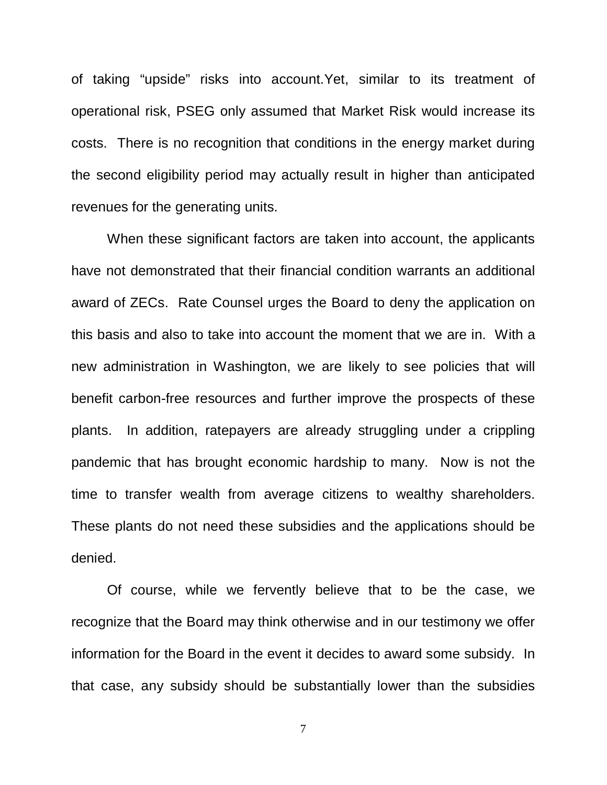of taking "upside" risks into account.Yet, similar to its treatment of operational risk, PSEG only assumed that Market Risk would increase its costs. There is no recognition that conditions in the energy market during the second eligibility period may actually result in higher than anticipated revenues for the generating units.

When these significant factors are taken into account, the applicants have not demonstrated that their financial condition warrants an additional award of ZECs. Rate Counsel urges the Board to deny the application on this basis and also to take into account the moment that we are in. With a new administration in Washington, we are likely to see policies that will benefit carbon-free resources and further improve the prospects of these plants. In addition, ratepayers are already struggling under a crippling pandemic that has brought economic hardship to many. Now is not the time to transfer wealth from average citizens to wealthy shareholders. These plants do not need these subsidies and the applications should be denied.

Of course, while we fervently believe that to be the case, we recognize that the Board may think otherwise and in our testimony we offer information for the Board in the event it decides to award some subsidy. In that case, any subsidy should be substantially lower than the subsidies